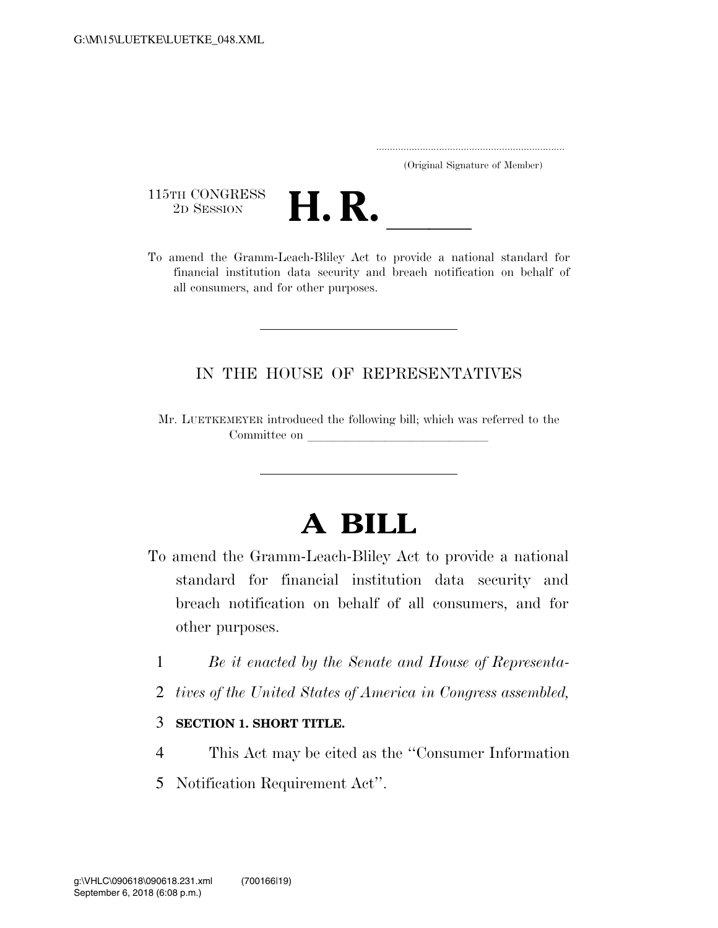..................................................................... (Original Signature of Member)

115TH CONGRESS<br>2D SESSION



TLETH CONGRESS<br>
2D SESSION<br>
To amend the Gramm-Leach-Bliley Act to provide a national standard for financial institution data security and breach notification on behalf of all consumers, and for other purposes.

### IN THE HOUSE OF REPRESENTATIVES

Mr. LUETKEMEYER introduced the following bill; which was referred to the Committee on

# **A BILL**

- To amend the Gramm-Leach-Bliley Act to provide a national standard for financial institution data security and breach notification on behalf of all consumers, and for other purposes.
	- 1 *Be it enacted by the Senate and House of Representa-*
	- 2 *tives of the United States of America in Congress assembled,*
	- 3 **SECTION 1. SHORT TITLE.**
	- 4 This Act may be cited as the ''Consumer Information
	- 5 Notification Requirement Act''.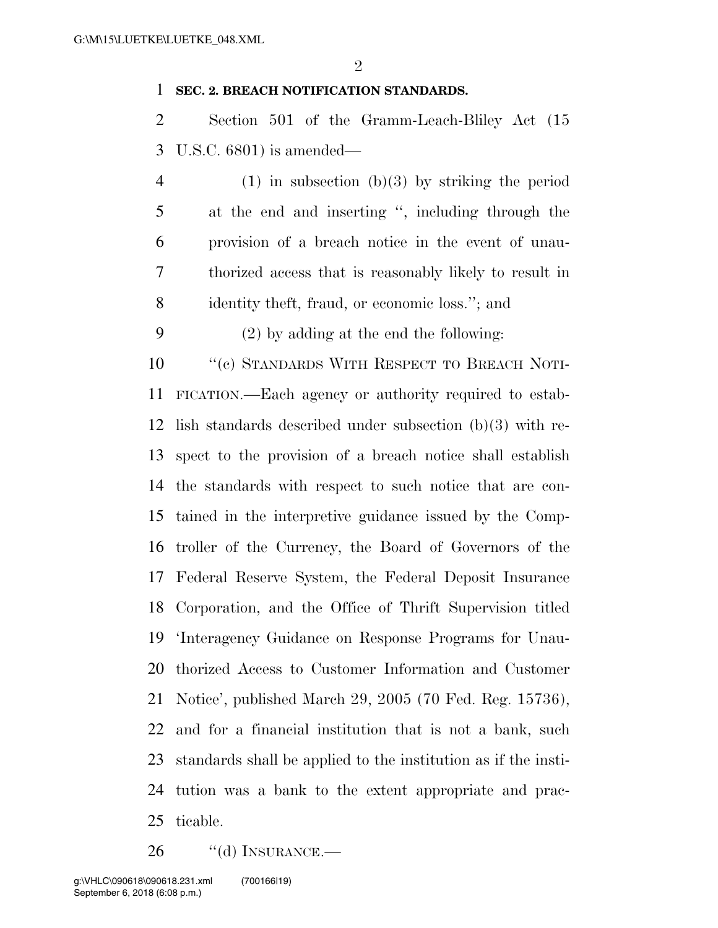#### **SEC. 2. BREACH NOTIFICATION STANDARDS.**

 Section 501 of the Gramm-Leach-Bliley Act (15 U.S.C. 6801) is amended—

 (1) in subsection (b)(3) by striking the period at the end and inserting '', including through the provision of a breach notice in the event of unau- thorized access that is reasonably likely to result in identity theft, fraud, or economic loss.''; and

(2) by adding at the end the following:

10 "(c) STANDARDS WITH RESPECT TO BREACH NOTI- FICATION.—Each agency or authority required to estab- lish standards described under subsection (b)(3) with re- spect to the provision of a breach notice shall establish the standards with respect to such notice that are con- tained in the interpretive guidance issued by the Comp- troller of the Currency, the Board of Governors of the Federal Reserve System, the Federal Deposit Insurance Corporation, and the Office of Thrift Supervision titled 'Interagency Guidance on Response Programs for Unau- thorized Access to Customer Information and Customer Notice', published March 29, 2005 (70 Fed. Reg. 15736), and for a financial institution that is not a bank, such standards shall be applied to the institution as if the insti- tution was a bank to the extent appropriate and prac-ticable.

26 "(d) INSURANCE.—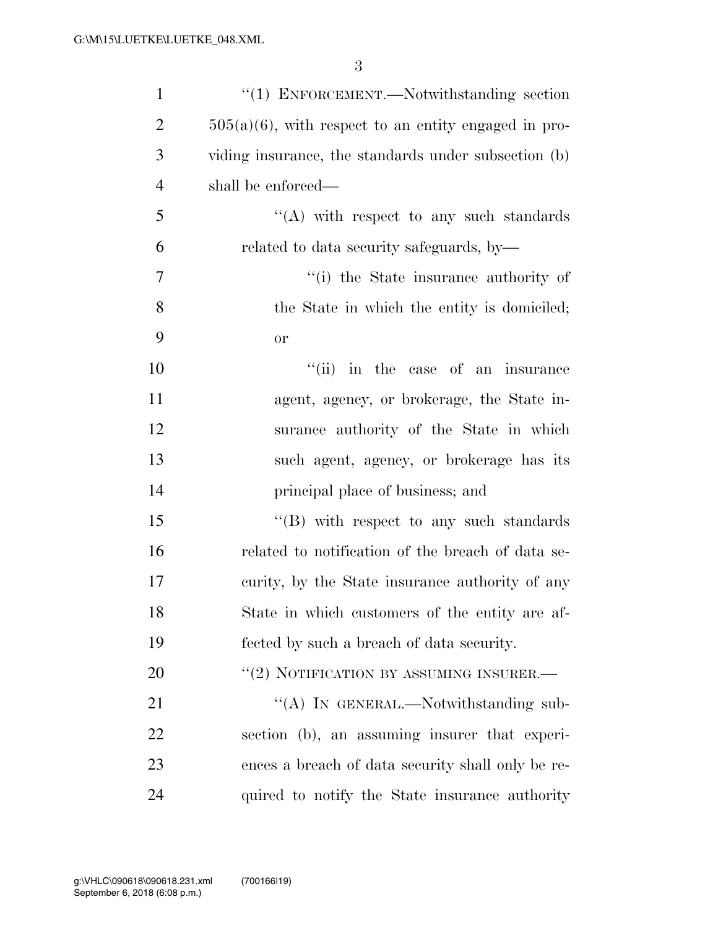| $\mathbf{1}$   | " $(1)$ ENFORCEMENT.—Notwithstanding section            |
|----------------|---------------------------------------------------------|
| $\overline{2}$ | $505(a)(6)$ , with respect to an entity engaged in pro- |
| 3              | viding insurance, the standards under subsection (b)    |
| $\overline{4}$ | shall be enforced—                                      |
| 5              | $\lq\lq$ with respect to any such standards             |
| 6              | related to data security safeguards, by-                |
| 7              | "(i) the State insurance authority of                   |
| 8              | the State in which the entity is domiciled;             |
| 9              | <b>or</b>                                               |
| 10             | "(ii) in the case of an insurance                       |
| 11             | agent, agency, or brokerage, the State in-              |
| 12             | surance authority of the State in which                 |
| 13             | such agent, agency, or brokerage has its                |
| 14             | principal place of business; and                        |
| 15             | $\lq\lq (B)$ with respect to any such standards         |
| 16             | related to notification of the breach of data se-       |
| 17             | curity, by the State insurance authority of any         |
| 18             | State in which customers of the entity are af-          |
| 19             | fected by such a breach of data security.               |
| 20             | "(2) NOTIFICATION BY ASSUMING INSURER.-                 |
| 21             | "(A) IN GENERAL.—Notwithstanding sub-                   |
| 22             | section (b), an assuming insurer that experi-           |
| 23             | ences a breach of data security shall only be re-       |
| 24             | quired to notify the State insurance authority          |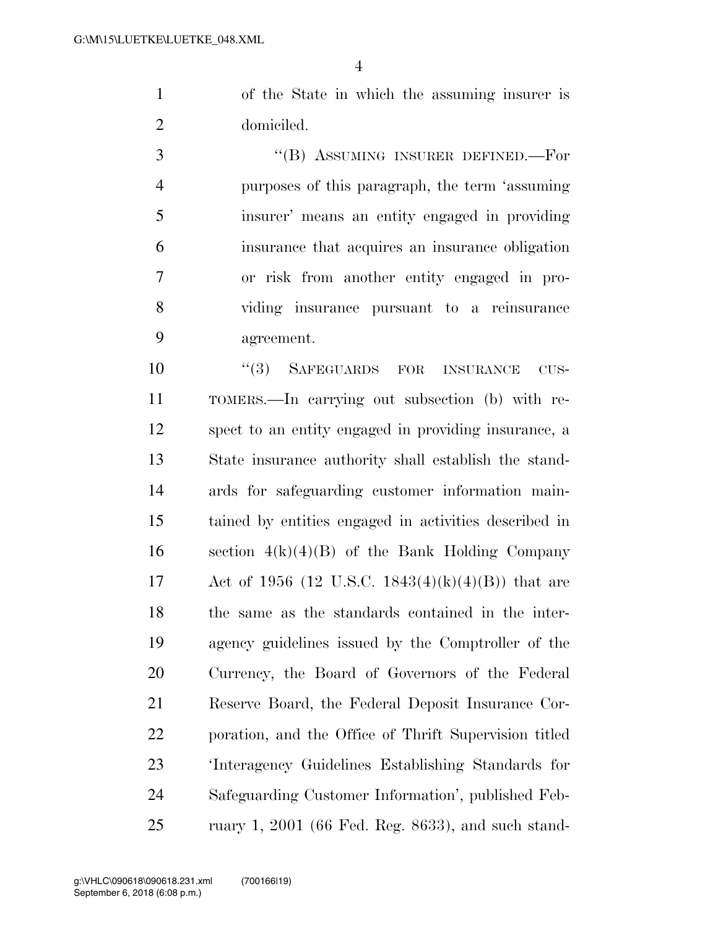of the State in which the assuming insurer is domiciled.

3 "(B) ASSUMING INSURER DEFINED.—For purposes of this paragraph, the term 'assuming insurer' means an entity engaged in providing insurance that acquires an insurance obligation or risk from another entity engaged in pro- viding insurance pursuant to a reinsurance agreement.

 $(3)$  SAFEGUARDS FOR INSURANCE CUS- TOMERS.—In carrying out subsection (b) with re- spect to an entity engaged in providing insurance, a State insurance authority shall establish the stand- ards for safeguarding customer information main- tained by entities engaged in activities described in 16 section  $4(k)(4)(B)$  of the Bank Holding Company 17 Act of 1956 (12 U.S.C. 1843(4)(k)(4)(B)) that are the same as the standards contained in the inter- agency guidelines issued by the Comptroller of the Currency, the Board of Governors of the Federal Reserve Board, the Federal Deposit Insurance Cor- poration, and the Office of Thrift Supervision titled 'Interagency Guidelines Establishing Standards for Safeguarding Customer Information', published Feb-ruary 1, 2001 (66 Fed. Reg. 8633), and such stand